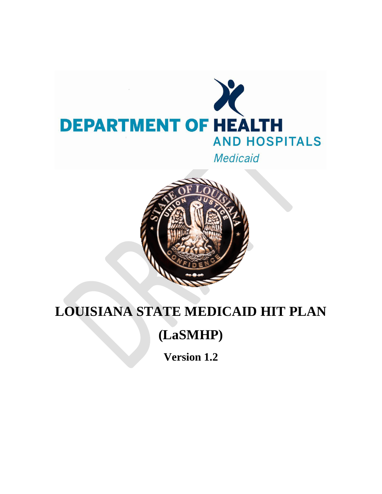



# **LOUISIANA STATE MEDICAID HIT PLAN**

## **(LaSMHP)**

**Version 1.2**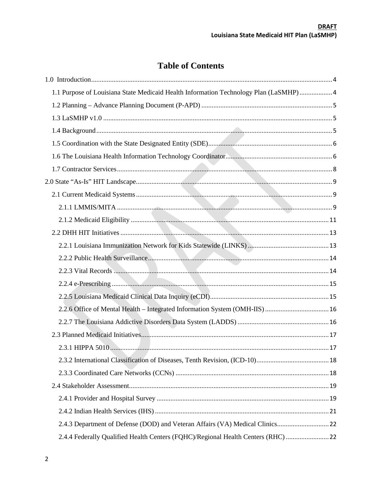## **Table of Contents**

| 1.1 Purpose of Louisiana State Medicaid Health Information Technology Plan (LaSMHP) 4 |  |
|---------------------------------------------------------------------------------------|--|
|                                                                                       |  |
|                                                                                       |  |
|                                                                                       |  |
|                                                                                       |  |
|                                                                                       |  |
|                                                                                       |  |
|                                                                                       |  |
|                                                                                       |  |
|                                                                                       |  |
|                                                                                       |  |
|                                                                                       |  |
|                                                                                       |  |
|                                                                                       |  |
|                                                                                       |  |
|                                                                                       |  |
|                                                                                       |  |
|                                                                                       |  |
|                                                                                       |  |
|                                                                                       |  |
|                                                                                       |  |
|                                                                                       |  |
|                                                                                       |  |
|                                                                                       |  |
|                                                                                       |  |
|                                                                                       |  |
|                                                                                       |  |
| 2.4.4 Federally Qualified Health Centers (FQHC)/Regional Health Centers (RHC)         |  |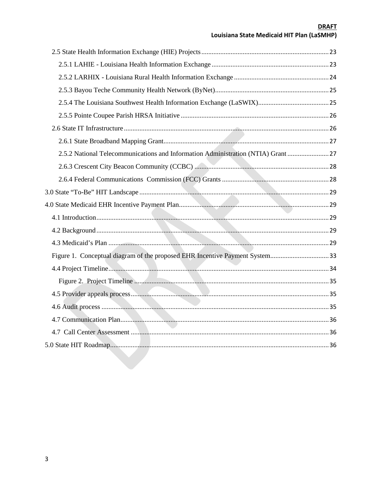# **DRAFT**<br>Louisiana State Medicaid HIT Plan (LaSMHP)

| 2.5.2 National Telecommunications and Information Administration (NTIA) Grant 27 |  |
|----------------------------------------------------------------------------------|--|
|                                                                                  |  |
|                                                                                  |  |
|                                                                                  |  |
|                                                                                  |  |
|                                                                                  |  |
|                                                                                  |  |
|                                                                                  |  |
|                                                                                  |  |
| Figure 1. Conceptual diagram of the proposed EHR Incentive Payment System33      |  |
|                                                                                  |  |
|                                                                                  |  |
|                                                                                  |  |
|                                                                                  |  |
|                                                                                  |  |
|                                                                                  |  |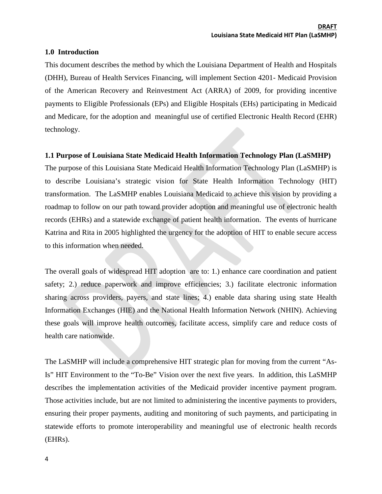#### <span id="page-3-0"></span>**1.0 Introduction**

This document describes the method by which the Louisiana Department of Health and Hospitals (DHH), Bureau of Health Services Financing, will implement Section 4201- Medicaid Provision of the American Recovery and Reinvestment Act (ARRA) of 2009, for providing incentive payments to Eligible Professionals (EPs) and Eligible Hospitals (EHs) participating in Medicaid and Medicare, for the adoption and meaningful use of certified Electronic Health Record (EHR) technology.

#### <span id="page-3-1"></span>**1.1 Purpose of Louisiana State Medicaid Health Information Technology Plan (LaSMHP)**

The purpose of this Louisiana State Medicaid Health Information Technology Plan (LaSMHP) is to describe Louisiana's strategic vision for State Health Information Technology (HIT) transformation. The LaSMHP enables Louisiana Medicaid to achieve this vision by providing a roadmap to follow on our path toward provider adoption and meaningful use of electronic health records (EHRs) and a statewide exchange of patient health information. The events of hurricane Katrina and Rita in 2005 highlighted the urgency for the adoption of HIT to enable secure access to this information when needed.

The overall goals of widespread HIT adoption are to: 1.) enhance care coordination and patient safety; 2.) reduce paperwork and improve efficiencies; 3.) facilitate electronic information sharing across providers, payers, and state lines; 4.) enable data sharing using state Health Information Exchanges (HIE) and the National Health Information Network (NHIN). Achieving these goals will improve health outcomes, facilitate access, simplify care and reduce costs of health care nationwide.

The LaSMHP will include a comprehensive HIT strategic plan for moving from the current "As-Is" HIT Environment to the "To-Be" Vision over the next five years. In addition, this LaSMHP describes the implementation activities of the Medicaid provider incentive payment program. Those activities include, but are not limited to administering the incentive payments to providers, ensuring their proper payments, auditing and monitoring of such payments, and participating in statewide efforts to promote interoperability and meaningful use of electronic health records (EHRs).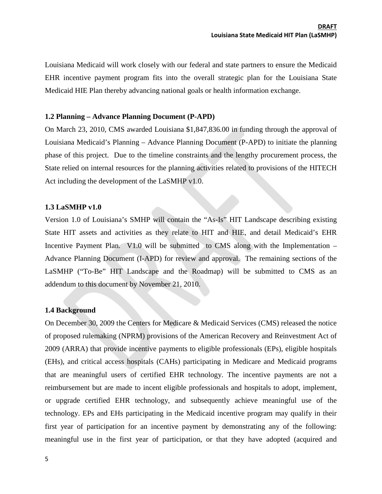Louisiana Medicaid will work closely with our federal and state partners to ensure the Medicaid EHR incentive payment program fits into the overall strategic plan for the Louisiana State Medicaid HIE Plan thereby advancing national goals or health information exchange.

#### <span id="page-4-0"></span>**1.2 Planning – Advance Planning Document (P-APD)**

On March 23, 2010, CMS awarded Louisiana \$1,847,836.00 in funding through the approval of Louisiana Medicaid's Planning – Advance Planning Document (P-APD) to initiate the planning phase of this project. Due to the timeline constraints and the lengthy procurement process, the State relied on internal resources for the planning activities related to provisions of the HITECH Act including the development of the LaSMHP v1.0.

#### <span id="page-4-1"></span>**1.3 LaSMHP v1.0**

Version 1.0 of Louisiana's SMHP will contain the "As-Is" HIT Landscape describing existing State HIT assets and activities as they relate to HIT and HIE, and detail Medicaid's EHR Incentive Payment Plan. V1.0 will be submitted to CMS along with the Implementation – Advance Planning Document (I-APD) for review and approval. The remaining sections of the LaSMHP ("To-Be" HIT Landscape and the Roadmap) will be submitted to CMS as an addendum to this document by November 21, 2010.

#### <span id="page-4-2"></span>**1.4 Background**

On December 30, 2009 the Centers for Medicare & Medicaid Services (CMS) released the notice of proposed rulemaking (NPRM) provisions of the American Recovery and Reinvestment Act of 2009 (ARRA) that provide incentive payments to eligible professionals (EPs), eligible hospitals (EHs), and critical access hospitals (CAHs) participating in Medicare and Medicaid programs that are meaningful users of certified EHR technology. The incentive payments are not a reimbursement but are made to incent eligible professionals and hospitals to adopt, implement, or upgrade certified EHR technology, and subsequently achieve meaningful use of the technology. EPs and EHs participating in the Medicaid incentive program may qualify in their first year of participation for an incentive payment by demonstrating any of the following: meaningful use in the first year of participation, or that they have adopted (acquired and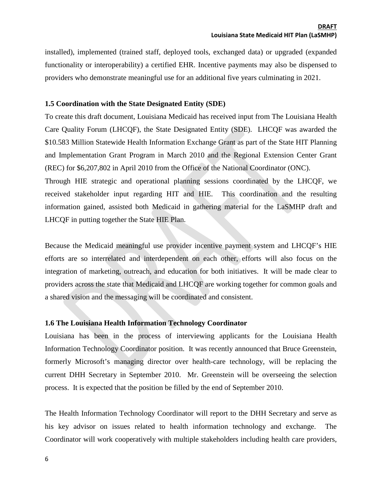installed), implemented (trained staff, deployed tools, exchanged data) or upgraded (expanded functionality or interoperability) a certified EHR. Incentive payments may also be dispensed to providers who demonstrate meaningful use for an additional five years culminating in 2021.

## <span id="page-5-0"></span>**1.5 Coordination with the State Designated Entity (SDE)**

To create this draft document, Louisiana Medicaid has received input from The Louisiana Health Care Quality Forum (LHCQF), the State Designated Entity (SDE). LHCQF was awarded the \$10.583 Million Statewide Health Information Exchange Grant as part of the State HIT Planning and Implementation Grant Program in March 2010 and the Regional Extension Center Grant (REC) for \$6,207,802 in April 2010 from the Office of the National Coordinator (ONC).

Through HIE strategic and operational planning sessions coordinated by the LHCQF, we received stakeholder input regarding HIT and HIE. This coordination and the resulting information gained, assisted both Medicaid in gathering material for the LaSMHP draft and LHCQF in putting together the State HIE Plan.

Because the Medicaid meaningful use provider incentive payment system and LHCQF's HIE efforts are so interrelated and interdependent on each other, efforts will also focus on the integration of marketing, outreach, and education for both initiatives. It will be made clear to providers across the state that Medicaid and LHCQF are working together for common goals and a shared vision and the messaging will be coordinated and consistent.

## <span id="page-5-1"></span>**1.6 The Louisiana Health Information Technology Coordinator**

Louisiana has been in the process of interviewing applicants for the Louisiana Health Information Technology Coordinator position. It was recently announced that Bruce Greenstein, formerly Microsoft's managing director over health-care technology, will be replacing the current DHH Secretary in September 2010. Mr. Greenstein will be overseeing the selection process. It is expected that the position be filled by the end of September 2010.

The Health Information Technology Coordinator will report to the DHH Secretary and serve as his key advisor on issues related to health information technology and exchange. The Coordinator will work cooperatively with multiple stakeholders including health care providers,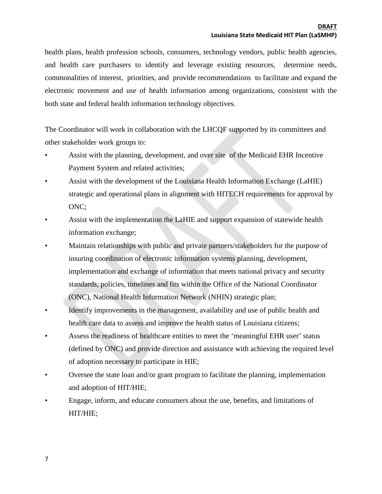health plans, health profession schools, consumers, technology vendors, public health agencies, and health care purchasers to identify and leverage existing resources, determine needs, commonalities of interest, priorities, and provide recommendations to facilitate and expand the electronic movement and use of health information among organizations, consistent with the both state and federal health information technology objectives.

The Coordinator will work in collaboration with the LHCQF supported by its committees and other stakeholder work groups to:

- Assist with the planning, development, and over site of the Medicaid EHR Incentive Payment System and related activities;
- Assist with the development of the Louisiana Health Information Exchange (LaHIE) strategic and operational plans in alignment with HITECH requirements for approval by ONC;
- Assist with the implementation the LaHIE and support expansion of statewide health information exchange;
- Maintain relationships with public and private partners/stakeholders for the purpose of insuring coordination of electronic information systems planning, development, implementation and exchange of information that meets national privacy and security standards, policies, timelines and fits within the Office of the National Coordinator (ONC), National Health Information Network (NHIN) strategic plan;
- Identify improvements in the management, availability and use of public health and health care data to assess and improve the health status of Louisiana citizens;
- Assess the readiness of healthcare entities to meet the 'meaningful EHR user' status (defined by ONC) and provide direction and assistance with achieving the required level of adoption necessary to participate in HIE;
- Oversee the state loan and/or grant program to facilitate the planning, implementation and adoption of HIT/HIE;
- Engage, inform, and educate consumers about the use, benefits, and limitations of HIT/HIE;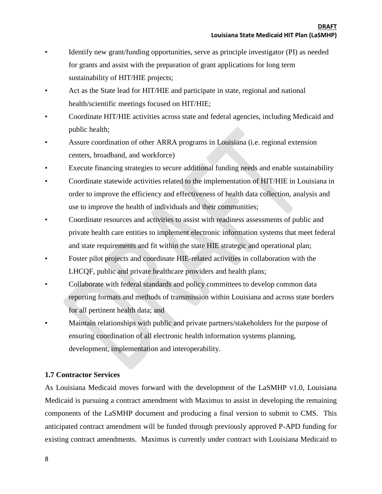- Identify new grant/funding opportunities, serve as principle investigator (PI) as needed for grants and assist with the preparation of grant applications for long term sustainability of HIT/HIE projects;
- Act as the State lead for HIT/HIE and participate in state, regional and national health/scientific meetings focused on HIT/HIE;
- Coordinate HIT/HIE activities across state and federal agencies, including Medicaid and public health;
- Assure coordination of other ARRA programs in Louisiana (i.e. regional extension centers, broadband, and workforce)
- Execute financing strategies to secure additional funding needs and enable sustainability
- Coordinate statewide activities related to the implementation of HIT/HIE in Louisiana in order to improve the efficiency and effectiveness of health data collection, analysis and use to improve the health of individuals and their communities;
- Coordinate resources and activities to assist with readiness assessments of public and private health care entities to implement electronic information systems that meet federal and state requirements and fit within the state HIE strategic and operational plan;
- Foster pilot projects and coordinate HIE-related activities in collaboration with the LHCQF, public and private healthcare providers and health plans;
- Collaborate with federal standards and policy committees to develop common data reporting formats and methods of transmission within Louisiana and across state borders for all pertinent health data; and
- Maintain relationships with public and private partners/stakeholders for the purpose of ensuring coordination of all electronic health information systems planning, development, implementation and interoperability.

## <span id="page-7-0"></span>**1.7 Contractor Services**

As Louisiana Medicaid moves forward with the development of the LaSMHP v1.0, Louisiana Medicaid is pursuing a contract amendment with Maximus to assist in developing the remaining components of the LaSMHP document and producing a final version to submit to CMS. This anticipated contract amendment will be funded through previously approved P-APD funding for existing contract amendments. Maximus is currently under contract with Louisiana Medicaid to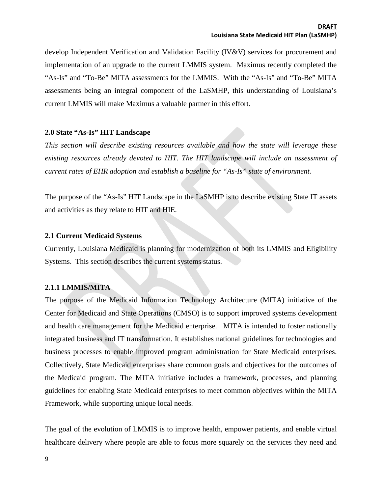develop Independent Verification and Validation Facility (IV&V) services for procurement and implementation of an upgrade to the current LMMIS system. Maximus recently completed the "As-Is" and "To-Be" MITA assessments for the LMMIS. With the "As-Is" and "To-Be" MITA assessments being an integral component of the LaSMHP, this understanding of Louisiana's current LMMIS will make Maximus a valuable partner in this effort.

## <span id="page-8-0"></span>**2.0 State "As-Is" HIT Landscape**

*This section will describe existing resources available and how the state will leverage these existing resources already devoted to HIT. The HIT landscape will include an assessment of current rates of EHR adoption and establish a baseline for "As-Is" state of environment.*

The purpose of the "As-Is" HIT Landscape in the LaSMHP is to describe existing State IT assets and activities as they relate to HIT and HIE.

## <span id="page-8-1"></span>**2.1 Current Medicaid Systems**

Currently, Louisiana Medicaid is planning for modernization of both its LMMIS and Eligibility Systems. This section describes the current systems status.

## <span id="page-8-2"></span>**2.1.1 LMMIS/MITA**

The purpose of the Medicaid Information Technology Architecture (MITA) initiative of the Center for Medicaid and State Operations (CMSO) is to support improved systems development and health care management for the Medicaid enterprise. MITA is intended to foster nationally integrated business and IT transformation. It establishes national guidelines for technologies and business processes to enable improved program administration for State Medicaid enterprises. Collectively, State Medicaid enterprises share common goals and objectives for the outcomes of the Medicaid program. The MITA initiative includes a framework, processes, and planning guidelines for enabling State Medicaid enterprises to meet common objectives within the MITA Framework, while supporting unique local needs.

The goal of the evolution of LMMIS is to improve health, empower patients, and enable virtual healthcare delivery where people are able to focus more squarely on the services they need and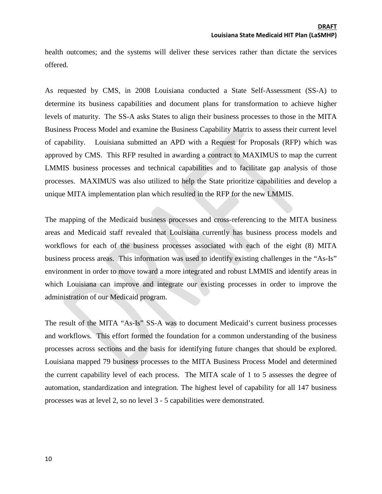health outcomes; and the systems will deliver these services rather than dictate the services offered.

As requested by CMS, in 2008 Louisiana conducted a State Self-Assessment (SS-A) to determine its business capabilities and document plans for transformation to achieve higher levels of maturity. The SS-A asks States to align their business processes to those in the MITA Business Process Model and examine the Business Capability Matrix to assess their current level of capability. Louisiana submitted an APD with a Request for Proposals (RFP) which was approved by CMS. This RFP resulted in awarding a contract to MAXIMUS to map the current LMMIS business processes and technical capabilities and to facilitate gap analysis of those processes. MAXIMUS was also utilized to help the State prioritize capabilities and develop a unique MITA implementation plan which resulted in the RFP for the new LMMIS.

The mapping of the Medicaid business processes and cross-referencing to the MITA business areas and Medicaid staff revealed that Louisiana currently has business process models and workflows for each of the business processes associated with each of the eight (8) MITA business process areas. This information was used to identify existing challenges in the "As-Is" environment in order to move toward a more integrated and robust LMMIS and identify areas in which Louisiana can improve and integrate our existing processes in order to improve the administration of our Medicaid program.

The result of the MITA "As-Is" SS-A was to document Medicaid's current business processes and workflows. This effort formed the foundation for a common understanding of the business processes across sections and the basis for identifying future changes that should be explored. Louisiana mapped 79 business processes to the MITA Business Process Model and determined the current capability level of each process. The MITA scale of 1 to 5 assesses the degree of automation, standardization and integration. The highest level of capability for all 147 business processes was at level 2, so no level 3 - 5 capabilities were demonstrated.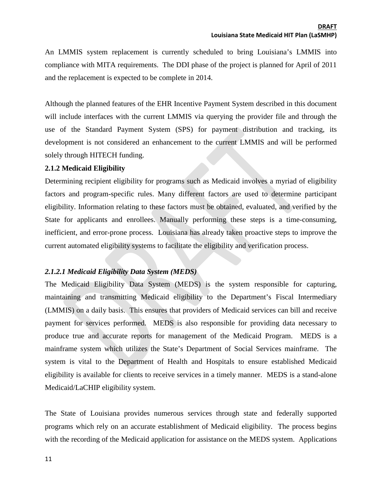An LMMIS system replacement is currently scheduled to bring Louisiana's LMMIS into compliance with MITA requirements. The DDI phase of the project is planned for April of 2011 and the replacement is expected to be complete in 2014.

Although the planned features of the EHR Incentive Payment System described in this document will include interfaces with the current LMMIS via querying the provider file and through the use of the Standard Payment System (SPS) for payment distribution and tracking, its development is not considered an enhancement to the current LMMIS and will be performed solely through HITECH funding.

## <span id="page-10-0"></span>**2.1.2 Medicaid Eligibility**

Determining recipient eligibility for programs such as Medicaid involves a myriad of eligibility factors and program-specific rules. Many different factors are used to determine participant eligibility. Information relating to these factors must be obtained, evaluated, and verified by the State for applicants and enrollees. Manually performing these steps is a time-consuming, inefficient, and error-prone process. Louisiana has already taken proactive steps to improve the current automated eligibility systems to facilitate the eligibility and verification process.

## *2.1.2.1 Medicaid Eligibility Data System (MEDS)*

The Medicaid Eligibility Data System (MEDS) is the system responsible for capturing, maintaining and transmitting Medicaid eligibility to the Department's Fiscal Intermediary (LMMIS) on a daily basis. This ensures that providers of Medicaid services can bill and receive payment for services performed. MEDS is also responsible for providing data necessary to produce true and accurate reports for management of the Medicaid Program. MEDS is a mainframe system which utilizes the State's Department of Social Services mainframe. The system is vital to the Department of Health and Hospitals to ensure established Medicaid eligibility is available for clients to receive services in a timely manner. MEDS is a stand-alone Medicaid/LaCHIP eligibility system.

The State of Louisiana provides numerous services through state and federally supported programs which rely on an accurate establishment of Medicaid eligibility. The process begins with the recording of the Medicaid application for assistance on the MEDS system. Applications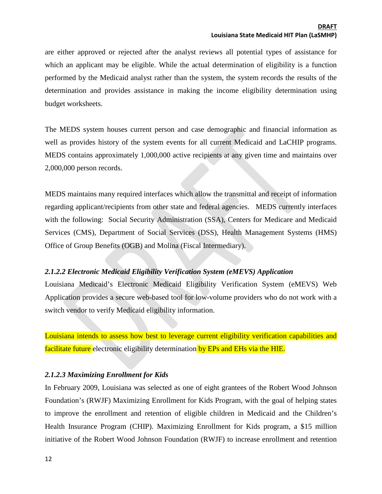are either approved or rejected after the analyst reviews all potential types of assistance for which an applicant may be eligible. While the actual determination of eligibility is a function performed by the Medicaid analyst rather than the system, the system records the results of the determination and provides assistance in making the income eligibility determination using budget worksheets.

The MEDS system houses current person and case demographic and financial information as well as provides history of the system events for all current Medicaid and LaCHIP programs. MEDS contains approximately 1,000,000 active recipients at any given time and maintains over 2,000,000 person records.

MEDS maintains many required interfaces which allow the transmittal and receipt of information regarding applicant/recipients from other state and federal agencies. MEDS currently interfaces with the following: Social Security Administration (SSA), Centers for Medicare and Medicaid Services (CMS), Department of Social Services (DSS), Health Management Systems (HMS) Office of Group Benefits (OGB) and Molina (Fiscal Intermediary).

## *2.1.2.2 Electronic Medicaid Eligibility Verification System (eMEVS) Application*

Louisiana Medicaid's Electronic Medicaid Eligibility Verification System (eMEVS) Web Application provides a secure web-based tool for low-volume providers who do not work with a switch vendor to verify Medicaid eligibility information.

Louisiana intends to assess how best to leverage current eligibility verification capabilities and facilitate future electronic eligibility determination by EPs and EHs via the HIE.

## *2.1.2.3 Maximizing Enrollment for Kids*

In February 2009, Louisiana was selected as one of eight grantees of the Robert Wood Johnson Foundation's (RWJF) Maximizing Enrollment for Kids Program, with the goal of helping states to improve the enrollment and retention of eligible children in Medicaid and the Children's Health Insurance Program (CHIP). Maximizing Enrollment for Kids program, a \$15 million initiative of the Robert Wood Johnson Foundation (RWJF) to increase enrollment and retention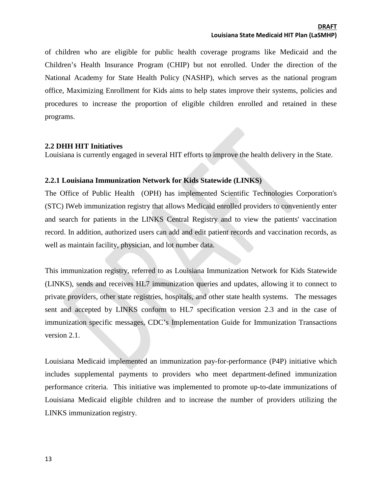of children who are eligible for public health coverage programs like Medicaid and the Children's Health Insurance Program (CHIP) but not enrolled. Under the direction of the National Academy for State Health Policy (NASHP), which serves as the national program office, Maximizing Enrollment for Kids aims to help states improve their systems, policies and procedures to increase the proportion of eligible children enrolled and retained in these programs.

## <span id="page-12-0"></span>**2.2 DHH HIT Initiatives**

Louisiana is currently engaged in several HIT efforts to improve the health delivery in the State.

## <span id="page-12-1"></span>**2.2.1 Louisiana Immunization Network for Kids Statewide (LINKS)**

The Office of Public Health (OPH) has implemented Scientific Technologies Corporation's (STC) IWeb immunization registry that allows Medicaid enrolled providers to conveniently enter and search for patients in the LINKS Central Registry and to view the patients' vaccination record. In addition, authorized users can add and edit patient records and vaccination records, as well as maintain facility, physician, and lot number data.

This immunization registry, referred to as Louisiana Immunization Network for Kids Statewide (LINKS), sends and receives HL7 immunization queries and updates, allowing it to connect to private providers, other state registries, hospitals, and other state health systems. The messages sent and accepted by LINKS conform to HL7 specification version 2.3 and in the case of immunization specific messages, CDC's Implementation Guide for Immunization Transactions version 2.1.

Louisiana Medicaid implemented an immunization pay-for-performance (P4P) initiative which includes supplemental payments to providers who meet department-defined immunization performance criteria. This initiative was implemented to promote up-to-date immunizations of Louisiana Medicaid eligible children and to increase the number of providers utilizing the LINKS immunization registry.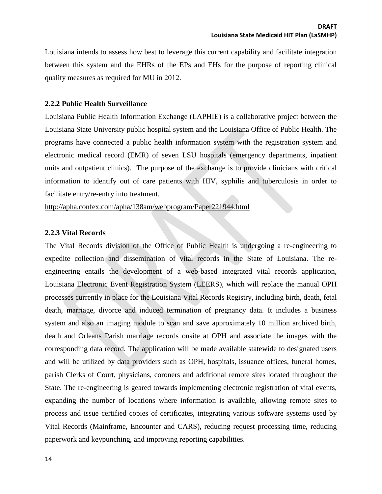Louisiana intends to assess how best to leverage this current capability and facilitate integration between this system and the EHRs of the EPs and EHs for the purpose of reporting clinical quality measures as required for MU in 2012.

#### <span id="page-13-0"></span>**2.2.2 Public Health Surveillance**

Louisiana Public Health Information Exchange (LAPHIE) is a collaborative project between the Louisiana State University public hospital system and the Louisiana Office of Public Health. The programs have connected a public health information system with the registration system and electronic medical record (EMR) of seven LSU hospitals (emergency departments, inpatient units and outpatient clinics). The purpose of the exchange is to provide clinicians with critical information to identify out of care patients with HIV, syphilis and tuberculosis in order to facilitate entry/re-entry into treatment.

<http://apha.confex.com/apha/138am/webprogram/Paper221944.html>

#### <span id="page-13-1"></span>**2.2.3 Vital Records**

The Vital Records division of the Office of Public Health is undergoing a re-engineering to expedite collection and dissemination of vital records in the State of Louisiana. The reengineering entails the development of a web-based integrated vital records application, Louisiana Electronic Event Registration System (LEERS), which will replace the manual OPH processes currently in place for the Louisiana Vital Records Registry, including birth, death, fetal death, marriage, divorce and induced termination of pregnancy data. It includes a business system and also an imaging module to scan and save approximately 10 million archived birth, death and Orleans Parish marriage records onsite at OPH and associate the images with the corresponding data record. The application will be made available statewide to designated users and will be utilized by data providers such as OPH, hospitals, issuance offices, funeral homes, parish Clerks of Court, physicians, coroners and additional remote sites located throughout the State. The re-engineering is geared towards implementing electronic registration of vital events, expanding the number of locations where information is available, allowing remote sites to process and issue certified copies of certificates, integrating various software systems used by Vital Records (Mainframe, Encounter and CARS), reducing request processing time, reducing paperwork and keypunching, and improving reporting capabilities.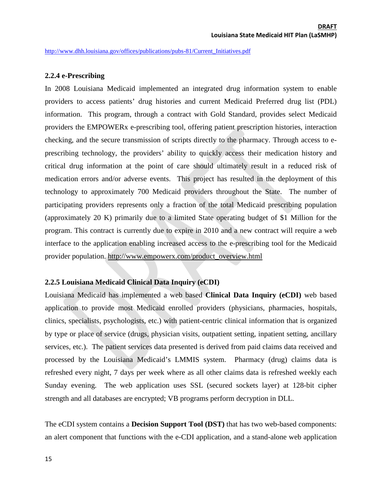<span id="page-14-0"></span>[http://www.dhh.louisiana.gov/offices/publications/pubs-81/Current\\_Initiatives.pdf](http://www.dhh.louisiana.gov/offices/publications/pubs-81/Current_Initiatives.pdf)

#### **2.2.4 e-Prescribing**

In 2008 Louisiana Medicaid implemented an integrated drug information system to enable providers to access patients' drug histories and current Medicaid Preferred drug list (PDL) information. This program, through a contract with Gold Standard, provides select Medicaid providers the EMPOWERx e-prescribing tool, offering patient prescription histories, interaction checking, and the secure transmission of scripts directly to the pharmacy. Through access to eprescribing technology, the providers' ability to quickly access their medication history and critical drug information at the point of care should ultimately result in a reduced risk of medication errors and/or adverse events. This project has resulted in the deployment of this technology to approximately 700 Medicaid providers throughout the State. The number of participating providers represents only a fraction of the total Medicaid prescribing population (approximately 20 K) primarily due to a limited State operating budget of \$1 Million for the program. This contract is currently due to expire in 2010 and a new contract will require a web interface to the application enabling increased access to the e-prescribing tool for the Medicaid provider population. [http://www.empowerx.com/product\\_overview.html](http://www.empowerx.com/product_overview.html)

## <span id="page-14-1"></span>**2.2.5 Louisiana Medicaid Clinical Data Inquiry (eCDI)**

Louisiana Medicaid has implemented a web based **Clinical Data Inquiry (eCDI)** web based application to provide most Medicaid enrolled providers (physicians, pharmacies, hospitals, clinics, specialists, psychologists, etc.) with patient-centric clinical information that is organized by type or place of service (drugs, physician visits, outpatient setting, inpatient setting, ancillary services, etc.). The patient services data presented is derived from paid claims data received and processed by the Louisiana Medicaid's LMMIS system. Pharmacy (drug) claims data is refreshed every night, 7 days per week where as all other claims data is refreshed weekly each Sunday evening. The web application uses SSL (secured sockets layer) at 128-bit cipher strength and all databases are encrypted; VB programs perform decryption in DLL.

The eCDI system contains a **Decision Support Tool (DST)** that has two web-based components: an alert component that functions with the e-CDI application, and a stand-alone web application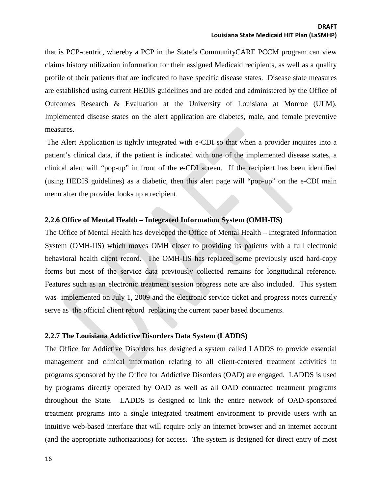that is PCP-centric, whereby a PCP in the State's CommunityCARE PCCM program can view claims history utilization information for their assigned Medicaid recipients, as well as a quality profile of their patients that are indicated to have specific disease states. Disease state measures are established using current HEDIS guidelines and are coded and administered by the Office of Outcomes Research & Evaluation at the University of Louisiana at Monroe (ULM). Implemented disease states on the alert application are diabetes, male, and female preventive measures.

The Alert Application is tightly integrated with e-CDI so that when a provider inquires into a patient's clinical data, if the patient is indicated with one of the implemented disease states, a clinical alert will "pop-up" in front of the e-CDI screen. If the recipient has been identified (using HEDIS guidelines) as a diabetic, then this alert page will "pop-up" on the e-CDI main menu after the provider looks up a recipient.

## <span id="page-15-0"></span>**2.2.6 Office of Mental Health – Integrated Information System (OMH-IIS)**

The Office of Mental Health has developed the Office of Mental Health – Integrated Information System (OMH-IIS) which moves OMH closer to providing its patients with a full electronic behavioral health client record. The OMH-IIS has replaced some previously used hard-copy forms but most of the service data previously collected remains for longitudinal reference. Features such as an electronic treatment session progress note are also included. This system was implemented on July 1, 2009 and the electronic service ticket and progress notes currently serve as the official client record replacing the current paper based documents.

## <span id="page-15-1"></span>**2.2.7 The Louisiana Addictive Disorders Data System (LADDS)**

The Office for Addictive Disorders has designed a system called LADDS to provide essential management and clinical information relating to all client-centered treatment activities in programs sponsored by the Office for Addictive Disorders (OAD) are engaged. LADDS is used by programs directly operated by OAD as well as all OAD contracted treatment programs throughout the State. LADDS is designed to link the entire network of OAD-sponsored treatment programs into a single integrated treatment environment to provide users with an intuitive web-based interface that will require only an internet browser and an internet account (and the appropriate authorizations) for access. The system is designed for direct entry of most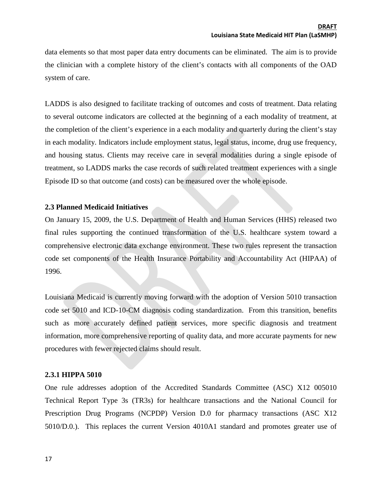data elements so that most paper data entry documents can be eliminated. The aim is to provide the clinician with a complete history of the client's contacts with all components of the OAD system of care.

LADDS is also designed to facilitate tracking of outcomes and costs of treatment. Data relating to several outcome indicators are collected at the beginning of a each modality of treatment, at the completion of the client's experience in a each modality and quarterly during the client's stay in each modality. Indicators include employment status, legal status, income, drug use frequency, and housing status. Clients may receive care in several modalities during a single episode of treatment, so LADDS marks the case records of such related treatment experiences with a single Episode ID so that outcome (and costs) can be measured over the whole episode.

## <span id="page-16-0"></span>**2.3 Planned Medicaid Initiatives**

On January 15, 2009, the U.S. Department of Health and Human Services (HHS) released two final rules supporting the continued transformation of the U.S. healthcare system toward a comprehensive electronic data exchange environment. These two rules represent the transaction code set components of the Health Insurance Portability and Accountability Act (HIPAA) of 1996.

Louisiana Medicaid is currently moving forward with the adoption of Version 5010 transaction code set 5010 and ICD-10-CM diagnosis coding standardization. From this transition, benefits such as more accurately defined patient services, more specific diagnosis and treatment information, more comprehensive reporting of quality data, and more accurate payments for new procedures with fewer rejected claims should result.

## <span id="page-16-1"></span>**2.3.1 HIPPA 5010**

One rule addresses adoption of the Accredited Standards Committee (ASC) X12 005010 Technical Report Type 3s (TR3s) for healthcare transactions and the National Council for Prescription Drug Programs (NCPDP) Version D.0 for pharmacy transactions (ASC X12 5010/D.0.). This replaces the current Version 4010A1 standard and promotes greater use of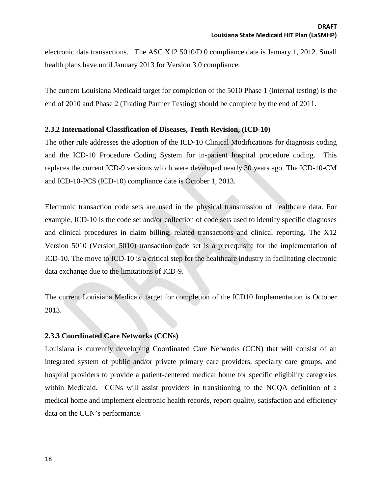electronic data transactions. The ASC X12 5010/D.0 compliance date is January 1, 2012. Small health plans have until January 2013 for Version 3.0 compliance.

The current Louisiana Medicaid target for completion of the 5010 Phase 1 (internal testing) is the end of 2010 and Phase 2 (Trading Partner Testing) should be complete by the end of 2011.

## <span id="page-17-0"></span>**2.3.2 International Classification of Diseases, Tenth Revision, (ICD-10)**

The other rule addresses the adoption of the ICD-10 Clinical Modifications for diagnosis coding and the ICD-10 Procedure Coding System for in-patient hospital procedure coding. This replaces the current ICD-9 versions which were developed nearly 30 years ago. The ICD-10-CM and ICD-10-PCS (ICD-10) compliance date is October 1, 2013.

Electronic transaction code sets are used in the physical transmission of healthcare data. For example, ICD-10 is the code set and/or collection of code sets used to identify specific diagnoses and clinical procedures in claim billing, related transactions and clinical reporting. The X12 Version 5010 (Version 5010) transaction code set is a prerequisite for the implementation of ICD-10. The move to ICD-10 is a critical step for the healthcare industry in facilitating electronic data exchange due to the limitations of ICD-9.

The current Louisiana Medicaid target for completion of the ICD10 Implementation is October 2013.

## <span id="page-17-1"></span>**2.3.3 Coordinated Care Networks (CCNs)**

Louisiana is currently developing Coordinated Care Networks (CCN) that will consist of an integrated system of public and/or private primary care providers, specialty care groups, and hospital providers to provide a patient-centered medical home for specific eligibility categories within Medicaid. CCNs will assist providers in transitioning to the NCQA definition of a medical home and implement electronic health records, report quality, satisfaction and efficiency data on the CCN's performance.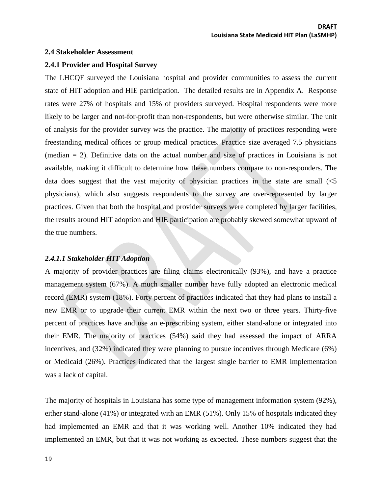#### <span id="page-18-0"></span>**2.4 Stakeholder Assessment**

#### <span id="page-18-1"></span>**2.4.1 Provider and Hospital Survey**

The LHCQF surveyed the Louisiana hospital and provider communities to assess the current state of HIT adoption and HIE participation. The detailed results are in Appendix A. Response rates were 27% of hospitals and 15% of providers surveyed. Hospital respondents were more likely to be larger and not-for-profit than non-respondents, but were otherwise similar. The unit of analysis for the provider survey was the practice. The majority of practices responding were freestanding medical offices or group medical practices. Practice size averaged 7.5 physicians (median = 2). Definitive data on the actual number and size of practices in Louisiana is not available, making it difficult to determine how these numbers compare to non-responders. The data does suggest that the vast majority of physician practices in the state are small  $\langle$ physicians), which also suggests respondents to the survey are over-represented by larger practices. Given that both the hospital and provider surveys were completed by larger facilities, the results around HIT adoption and HIE participation are probably skewed somewhat upward of the true numbers.

#### *2.4.1.1 Stakeholder HIT Adoption*

A majority of provider practices are filing claims electronically (93%), and have a practice management system (67%). A much smaller number have fully adopted an electronic medical record (EMR) system (18%). Forty percent of practices indicated that they had plans to install a new EMR or to upgrade their current EMR within the next two or three years. Thirty-five percent of practices have and use an e-prescribing system, either stand-alone or integrated into their EMR. The majority of practices (54%) said they had assessed the impact of ARRA incentives, and  $(32%)$  indicated they were planning to pursue incentives through Medicare (6%) or Medicaid (26%). Practices indicated that the largest single barrier to EMR implementation was a lack of capital.

The majority of hospitals in Louisiana has some type of management information system (92%), either stand-alone (41%) or integrated with an EMR (51%). Only 15% of hospitals indicated they had implemented an EMR and that it was working well. Another 10% indicated they had implemented an EMR, but that it was not working as expected. These numbers suggest that the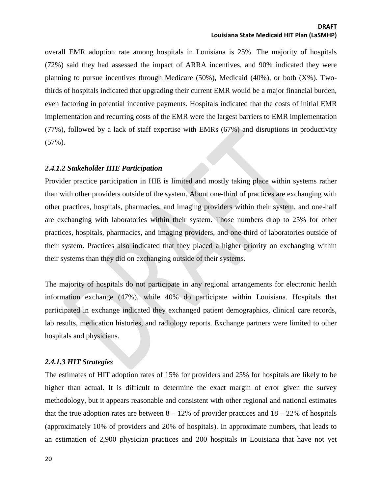overall EMR adoption rate among hospitals in Louisiana is 25%. The majority of hospitals (72%) said they had assessed the impact of ARRA incentives, and 90% indicated they were planning to pursue incentives through Medicare (50%), Medicaid (40%), or both (X%). Twothirds of hospitals indicated that upgrading their current EMR would be a major financial burden, even factoring in potential incentive payments. Hospitals indicated that the costs of initial EMR implementation and recurring costs of the EMR were the largest barriers to EMR implementation (77%), followed by a lack of staff expertise with EMRs (67%) and disruptions in productivity (57%).

#### *2.4.1.2 Stakeholder HIE Participation*

Provider practice participation in HIE is limited and mostly taking place within systems rather than with other providers outside of the system. About one-third of practices are exchanging with other practices, hospitals, pharmacies, and imaging providers within their system, and one-half are exchanging with laboratories within their system. Those numbers drop to 25% for other practices, hospitals, pharmacies, and imaging providers, and one-third of laboratories outside of their system. Practices also indicated that they placed a higher priority on exchanging within their systems than they did on exchanging outside of their systems.

The majority of hospitals do not participate in any regional arrangements for electronic health information exchange (47%), while 40% do participate within Louisiana. Hospitals that participated in exchange indicated they exchanged patient demographics, clinical care records, lab results, medication histories, and radiology reports. Exchange partners were limited to other hospitals and physicians.

#### *2.4.1.3 HIT Strategies*

The estimates of HIT adoption rates of 15% for providers and 25% for hospitals are likely to be higher than actual. It is difficult to determine the exact margin of error given the survey methodology, but it appears reasonable and consistent with other regional and national estimates that the true adoption rates are between  $8 - 12\%$  of provider practices and  $18 - 22\%$  of hospitals (approximately 10% of providers and 20% of hospitals). In approximate numbers, that leads to an estimation of 2,900 physician practices and 200 hospitals in Louisiana that have not yet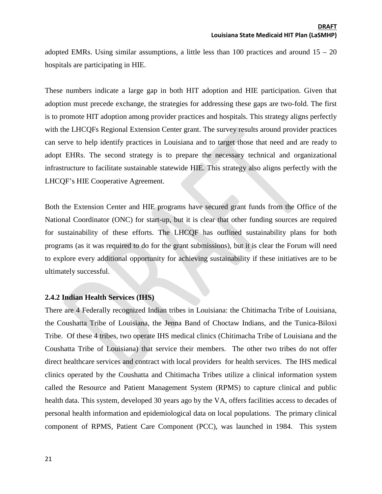adopted EMRs. Using similar assumptions, a little less than 100 practices and around  $15 - 20$ hospitals are participating in HIE.

These numbers indicate a large gap in both HIT adoption and HIE participation. Given that adoption must precede exchange, the strategies for addressing these gaps are two-fold. The first is to promote HIT adoption among provider practices and hospitals. This strategy aligns perfectly with the LHCQFs Regional Extension Center grant. The survey results around provider practices can serve to help identify practices in Louisiana and to target those that need and are ready to adopt EHRs. The second strategy is to prepare the necessary technical and organizational infrastructure to facilitate sustainable statewide HIE. This strategy also aligns perfectly with the LHCQF's HIE Cooperative Agreement.

Both the Extension Center and HIE programs have secured grant funds from the Office of the National Coordinator (ONC) for start-up, but it is clear that other funding sources are required for sustainability of these efforts. The LHCQF has outlined sustainability plans for both programs (as it was required to do for the grant submissions), but it is clear the Forum will need to explore every additional opportunity for achieving sustainability if these initiatives are to be ultimately successful.

## <span id="page-20-0"></span>**2.4.2 Indian Health Services (IHS)**

There are 4 Federally recognized Indian tribes in Louisiana: the Chitimacha Tribe of Louisiana, the Coushatta Tribe of Louisiana, the Jenna Band of Choctaw Indians, and the Tunica-Biloxi Tribe. Of these 4 tribes, two operate IHS medical clinics (Chitimacha Tribe of Louisiana and the Coushatta Tribe of Louisiana) that service their members. The other two tribes do not offer direct healthcare services and contract with local providers for health services. The IHS medical clinics operated by the Coushatta and Chitimacha Tribes utilize a clinical information system called the Resource and Patient Management System (RPMS) to capture clinical and public health data. This system, developed 30 years ago by the VA, offers facilities access to decades of personal health information and epidemiological data on local populations. The primary clinical component of RPMS, Patient Care Component (PCC), was launched in 1984. This system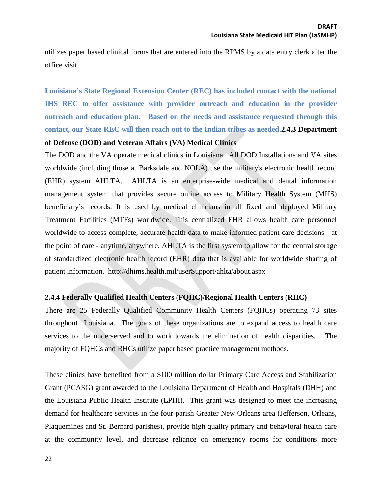utilizes paper based clinical forms that are entered into the RPMS by a data entry clerk after the office visit.

**Louisiana's State Regional Extension Center (REC) has included contact with the national IHS REC to offer assistance with provider outreach and education in the provider outreach and education plan. Based on the needs and assistance requested through this contact, our State REC will then reach out to the Indian tribes as needed.2.4.3 Department** 

#### <span id="page-21-0"></span>**of Defense (DOD) and Veteran Affairs (VA) Medical Clinics**

The DOD and the VA operate medical clinics in Louisiana. All DOD Installations and VA sites worldwide (including those at Barksdale and NOLA) use the military's electronic health record (EHR) system AHLTA. AHLTA is an enterprise-wide medical and dental information management system that provides secure online access to Military Health System (MHS) beneficiary's records. It is used by medical clinicians in all fixed and deployed Military Treatment Facilities (MTFs) worldwide. This centralized EHR allows health care personnel worldwide to access complete, accurate health data to make informed patient care decisions - at the point of care - anytime, anywhere. AHLTA is the first system to allow for the central storage of standardized electronic health record (EHR) data that is available for worldwide sharing of patient information. <http://dhims.health.mil/userSupport/ahlta/about.aspx>

## <span id="page-21-1"></span>**2.4.4 Federally Qualified Health Centers (FQHC)/Regional Health Centers (RHC)**

There are 25 Federally Qualified Community Health Centers (FQHCs) operating 73 sites throughout Louisiana. The goals of these organizations are to expand access to health care services to the underserved and to work towards the elimination of health disparities. The majority of FQHCs and RHCs utilize paper based practice management methods.

These clinics have benefited from a \$100 million dollar Primary Care Access and Stabilization Grant (PCASG) grant awarded to the Louisiana Department of Health and Hospitals (DHH) and the Louisiana Public Health Institute (LPHI). This grant was designed to meet the increasing demand for [healthcare services in the four-parish Greater New Orleans area](http://www.gnocommunity.org/) (Jefferson, Orleans, Plaquemines and St. Bernard parishes), provide high quality primary and behavioral health care at the community level, and decrease reliance on emergency rooms for conditions more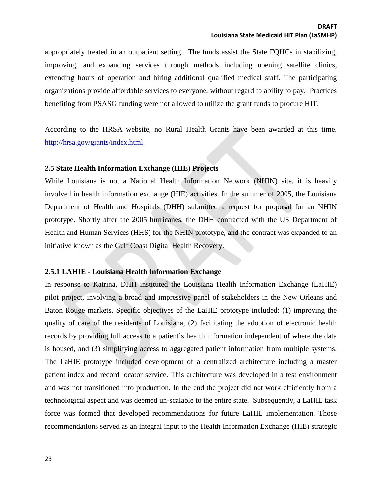appropriately treated in an outpatient setting. The funds assist the State FQHCs in stabilizing, improving, and expanding services through methods including opening satellite clinics, extending hours of operation and hiring additional qualified medical staff. The participating organizations provide affordable services to everyone, without regard to ability to pay. Practices benefiting from PSASG funding were not allowed to utilize the grant funds to procure HIT.

According to the HRSA website, no Rural Health Grants have been awarded at this time. <http://hrsa.gov/grants/index.html>

#### <span id="page-22-0"></span>**2.5 State Health Information Exchange (HIE) Projects**

While Louisiana is not a National Health Information Network (NHIN) site, it is heavily involved in health information exchange (HIE) activities. In the summer of 2005, the Louisiana Department of Health and Hospitals (DHH) submitted a request for proposal for an NHIN prototype. Shortly after the 2005 hurricanes, the DHH contracted with the US Department of Health and Human Services (HHS) for the NHIN prototype, and the contract was expanded to an initiative known as the Gulf Coast Digital Health Recovery.

## <span id="page-22-1"></span>**2.5.1 LAHIE - Louisiana Health Information Exchange**

In response to Katrina, DHH instituted the Louisiana Health Information Exchange (LaHIE) pilot project, involving a broad and impressive panel of stakeholders in the New Orleans and Baton Rouge markets. Specific objectives of the LaHIE prototype included: (1) improving the quality of care of the residents of Louisiana, (2) facilitating the adoption of electronic health records by providing full access to a patient's health information independent of where the data is housed, and (3) simplifying access to aggregated patient information from multiple systems. The LaHIE prototype included development of a centralized architecture including a master patient index and record locator service. This architecture was developed in a test environment and was not transitioned into production. In the end the project did not work efficiently from a technological aspect and was deemed un-scalable to the entire state. Subsequently, a LaHIE task force was formed that developed recommendations for future LaHIE implementation. Those recommendations served as an integral input to the Health Information Exchange (HIE) strategic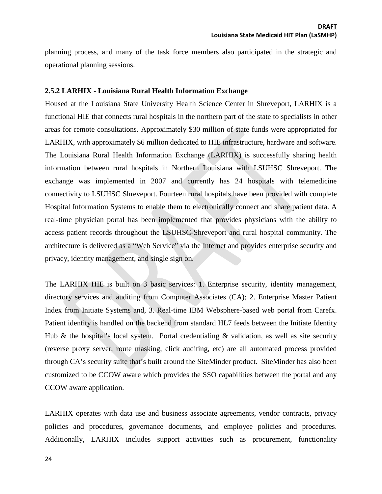planning process, and many of the task force members also participated in the strategic and operational planning sessions.

#### <span id="page-23-0"></span>**2.5.2 LARHIX - Louisiana Rural Health Information Exchange**

Housed at the Louisiana State University Health Science Center in Shreveport, LARHIX is a functional HIE that connects rural hospitals in the northern part of the state to specialists in other areas for remote consultations. Approximately \$30 million of state funds were appropriated for LARHIX, with approximately \$6 million dedicated to HIE infrastructure, hardware and software. The Louisiana Rural Health Information Exchange (LARHIX) is successfully sharing health information between rural hospitals in Northern Louisiana with LSUHSC Shreveport. The exchange was implemented in 2007 and currently has 24 hospitals with telemedicine connectivity to LSUHSC Shreveport. Fourteen rural hospitals have been provided with complete Hospital Information Systems to enable them to electronically connect and share patient data. A real-time physician portal has been implemented that provides physicians with the ability to access patient records throughout the LSUHSC-Shreveport and rural hospital community. The architecture is delivered as a "Web Service" via the Internet and provides enterprise security and privacy, identity management, and single sign on.

The LARHIX HIE is built on 3 basic services: 1. Enterprise security, identity management, directory services and auditing from Computer Associates (CA); 2. Enterprise Master Patient Index from Initiate Systems and, 3. Real-time IBM Websphere-based web portal from Carefx. Patient identity is handled on the backend from standard HL7 feeds between the Initiate Identity Hub & the hospital's local system. Portal credentialing  $\&$  validation, as well as site security (reverse proxy server, route masking, click auditing, etc) are all automated process provided through CA's security suite that's built around the SiteMinder product. SiteMinder has also been customized to be CCOW aware which provides the SSO capabilities between the portal and any CCOW aware application.

LARHIX operates with data use and business associate agreements, vendor contracts, privacy policies and procedures, governance documents, and employee policies and procedures. Additionally, LARHIX includes support activities such as procurement, functionality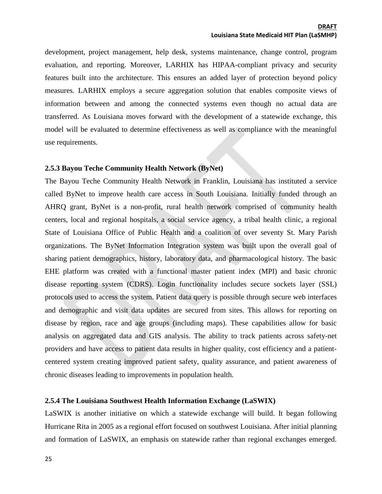development, project management, help desk, systems maintenance, change control, program evaluation, and reporting. Moreover, LARHIX has HIPAA-compliant privacy and security features built into the architecture. This ensures an added layer of protection beyond policy measures. LARHIX employs a secure aggregation solution that enables composite views of information between and among the connected systems even though no actual data are transferred. As Louisiana moves forward with the development of a statewide exchange, this model will be evaluated to determine effectiveness as well as compliance with the meaningful use requirements.

#### <span id="page-24-0"></span>**2.5.3 Bayou Teche Community Health Network (ByNet)**

The Bayou Teche Community Health Network in Franklin, Louisiana has instituted a service called ByNet to improve health care access in South Louisiana. Initially funded through an AHRQ grant, ByNet is a non-profit, rural health network comprised of community health centers, local and regional hospitals, a social service agency, a tribal health clinic, a regional State of Louisiana Office of Public Health and a coalition of over seventy St. Mary Parish organizations. The ByNet Information Integration system was built upon the overall goal of sharing patient demographics, history, laboratory data, and pharmacological history. The basic EHE platform was created with a functional master patient index (MPI) and basic chronic disease reporting system (CDRS). Login functionality includes secure sockets layer (SSL) protocols used to access the system. Patient data query is possible through secure web interfaces and demographic and visit data updates are secured from sites. This allows for reporting on disease by region, race and age groups (including maps). These capabilities allow for basic analysis on aggregated data and GIS analysis. The ability to track patients across safety-net providers and have access to patient data results in higher quality, cost efficiency and a patientcentered system creating improved patient safety, quality assurance, and patient awareness of chronic diseases leading to improvements in population health.

## <span id="page-24-1"></span>**2.5.4 The Louisiana Southwest Health Information Exchange (LaSWIX)**

LaSWIX is another initiative on which a statewide exchange will build. It began following Hurricane Rita in 2005 as a regional effort focused on southwest Louisiana. After initial planning and formation of LaSWIX, an emphasis on statewide rather than regional exchanges emerged.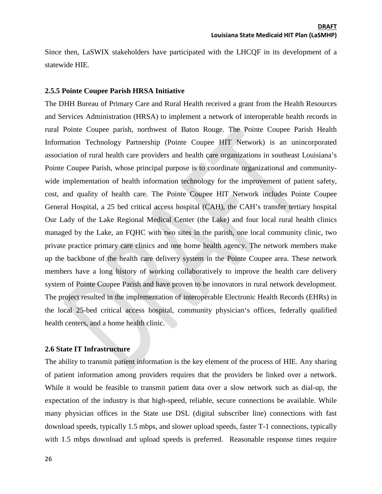Since then, LaSWIX stakeholders have participated with the LHCQF in its development of a statewide HIE.

#### <span id="page-25-0"></span>**2.5.5 Pointe Coupee Parish HRSA Initiative**

The DHH Bureau of Primary Care and Rural Health received a grant from the Health Resources and Services Administration (HRSA) to implement a network of interoperable health records in rural Pointe Coupee parish, northwest of Baton Rouge. The Pointe Coupee Parish Health Information Technology Partnership (Pointe Coupee HIT Network) is an unincorporated association of rural health care providers and health care organizations in southeast Louisiana's Pointe Coupee Parish, whose principal purpose is to coordinate organizational and communitywide implementation of health information technology for the improvement of patient safety, cost, and quality of health care. The Pointe Coupee HIT Network includes Pointe Coupee General Hospital, a 25 bed critical access hospital (CAH), the CAH's transfer tertiary hospital Our Lady of the Lake Regional Medical Center (the Lake) and four local rural health clinics managed by the Lake, an FQHC with two sites in the parish, one local community clinic, two private practice primary care clinics and one home health agency. The network members make up the backbone of the health care delivery system in the Pointe Coupee area. These network members have a long history of working collaboratively to improve the health care delivery system of Pointe Coupee Parish and have proven to be innovators in rural network development. The project resulted in the implementation of interoperable Electronic Health Records (EHRs) in the local 25-bed critical access hospital, community physician's offices, federally qualified health centers, and a home health clinic.

#### <span id="page-25-1"></span>**2.6 State IT Infrastructure**

The ability to transmit patient information is the key element of the process of HIE. Any sharing of patient information among providers requires that the providers be linked over a network. While it would be feasible to transmit patient data over a slow network such as dial-up, the expectation of the industry is that high-speed, reliable, secure connections be available. While many physician offices in the State use DSL (digital subscriber line) connections with fast download speeds, typically 1.5 mbps, and slower upload speeds, faster T-1 connections, typically with 1.5 mbps download and upload speeds is preferred. Reasonable response times require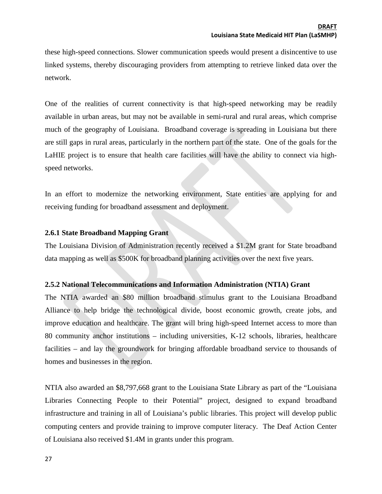these high-speed connections. Slower communication speeds would present a disincentive to use linked systems, thereby discouraging providers from attempting to retrieve linked data over the network.

One of the realities of current connectivity is that high-speed networking may be readily available in urban areas, but may not be available in semi-rural and rural areas, which comprise much of the geography of Louisiana. Broadband coverage is spreading in Louisiana but there are still gaps in rural areas, particularly in the northern part of the state. One of the goals for the LaHIE project is to ensure that health care facilities will have the ability to connect via highspeed networks.

In an effort to modernize the networking environment, State entities are applying for and receiving funding for broadband assessment and deployment.

## <span id="page-26-0"></span>**2.6.1 State Broadband Mapping Grant**

The Louisiana Division of Administration recently received a \$1.2M grant for State broadband data mapping as well as \$500K for broadband planning activities over the next five years.

## <span id="page-26-1"></span>**2.5.2 National Telecommunications and Information Administration (NTIA) Grant**

The NTIA awarded an \$80 million broadband stimulus grant to the Louisiana Broadband Alliance to help bridge the technological divide, boost economic growth, create jobs, and improve education and healthcare. The grant will bring high-speed Internet access to more than 80 community anchor institutions – including universities, K-12 schools, libraries, healthcare facilities – and lay the groundwork for bringing affordable broadband service to thousands of homes and businesses in the region.

NTIA also awarded an \$8,797,668 grant to the Louisiana State Library as part of the "Louisiana Libraries Connecting People to their Potential" project, designed to expand broadband infrastructure and training in all of Louisiana's public libraries. This project will develop public computing centers and provide training to improve computer literacy. The Deaf Action Center of Louisiana also received \$1.4M in grants under this program.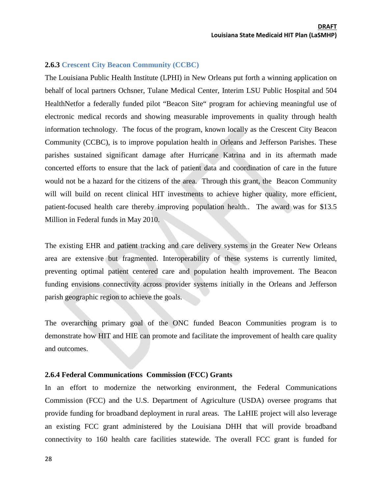#### <span id="page-27-0"></span>**2.6.3 Crescent City Beacon Community (CCBC)**

The Louisiana Public Health Institute (LPHI) in New Orleans put forth a winning application on behalf of local partners Ochsner, Tulane Medical Center, Interim LSU Public Hospital and 504 HealthNetfor a federally funded pilot "Beacon Site" program for achieving meaningful use of electronic medical records and showing measurable improvements in quality through health information technology. The focus of the program, known locally as the Crescent City Beacon Community (CCBC), is to improve population health in Orleans and Jefferson Parishes. These parishes sustained significant damage after Hurricane Katrina and in its aftermath made concerted efforts to ensure that the lack of patient data and coordination of care in the future would not be a hazard for the citizens of the area. Through this grant, the Beacon Community will will build on recent clinical HIT investments to achieve higher quality, more efficient, patient-focused health care thereby improving population health.. The award was for \$13.5 Million in Federal funds in May 2010.

The existing EHR and patient tracking and care delivery systems in the Greater New Orleans area are extensive but fragmented. Interoperability of these systems is currently limited, preventing optimal patient centered care and population health improvement. The Beacon funding envisions connectivity across provider systems initially in the Orleans and Jefferson parish geographic region to achieve the goals.

The overarching primary goal of the ONC funded Beacon Communities program is to demonstrate how HIT and HIE can promote and facilitate the improvement of health care quality and outcomes.

#### <span id="page-27-1"></span>**2.6.4 Federal Communications Commission (FCC) Grants**

In an effort to modernize the networking environment, the Federal Communications Commission (FCC) and the U.S. Department of Agriculture (USDA) oversee programs that provide funding for broadband deployment in rural areas. The LaHIE project will also leverage an existing FCC grant administered by the Louisiana DHH that will provide broadband connectivity to 160 health care facilities statewide. The overall FCC grant is funded for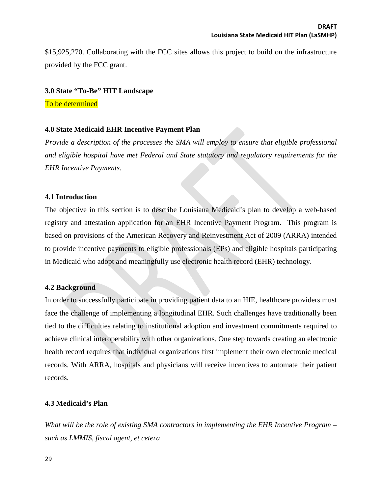\$15,925,270. Collaborating with the FCC sites allows this project to build on the infrastructure provided by the FCC grant.

#### <span id="page-28-0"></span>**3.0 State "To-Be" HIT Landscape**

To be determined

#### <span id="page-28-1"></span>**4.0 State Medicaid EHR Incentive Payment Plan**

*Provide a description of the processes the SMA will employ to ensure that eligible professional and eligible hospital have met Federal and State statutory and regulatory requirements for the EHR Incentive Payments.* 

#### <span id="page-28-2"></span>**4.1 Introduction**

The objective in this section is to describe Louisiana Medicaid's plan to develop a web-based registry and attestation application for an EHR Incentive Payment Program. This program is based on provisions of the American Recovery and Reinvestment Act of 2009 (ARRA) intended to provide incentive payments to eligible professionals (EPs) and eligible hospitals participating in Medicaid who adopt and meaningfully use electronic health record (EHR) technology.

## <span id="page-28-3"></span>**4.2 Background**

In order to successfully participate in providing patient data to an HIE, healthcare providers must face the challenge of implementing a longitudinal EHR. Such challenges have traditionally been tied to the difficulties relating to institutional adoption and investment commitments required to achieve clinical interoperability with other organizations. One step towards creating an electronic health record requires that individual organizations first implement their own electronic medical records. With ARRA, hospitals and physicians will receive incentives to automate their patient records.

## <span id="page-28-4"></span>**4.3 Medicaid's Plan**

*What will be the role of existing SMA contractors in implementing the EHR Incentive Program – such as LMMIS, fiscal agent, et cetera*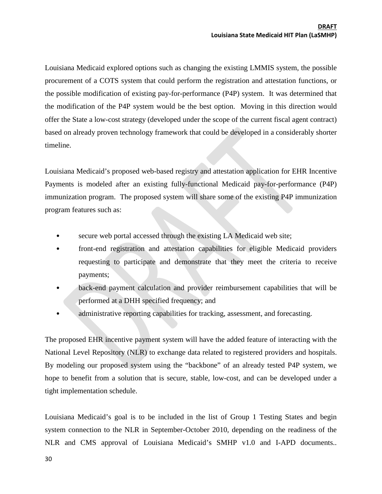Louisiana Medicaid explored options such as changing the existing LMMIS system, the possible procurement of a COTS system that could perform the registration and attestation functions, or the possible modification of existing pay-for-performance (P4P) system. It was determined that the modification of the P4P system would be the best option. Moving in this direction would offer the State a low-cost strategy (developed under the scope of the current fiscal agent contract) based on already proven technology framework that could be developed in a considerably shorter timeline.

Louisiana Medicaid's proposed web-based registry and attestation application for EHR Incentive Payments is modeled after an existing fully-functional Medicaid pay-for-performance (P4P) immunization program. The proposed system will share some of the existing P4P immunization program features such as:

- secure web portal accessed through the existing LA Medicaid web site;
- front-end registration and attestation capabilities for eligible Medicaid providers requesting to participate and demonstrate that they meet the criteria to receive payments;
- back-end payment calculation and provider reimbursement capabilities that will be performed at a DHH specified frequency; and
- administrative reporting capabilities for tracking, assessment, and forecasting.

The proposed EHR incentive payment system will have the added feature of interacting with the National Level Repository (NLR) to exchange data related to registered providers and hospitals. By modeling our proposed system using the "backbone" of an already tested P4P system, we hope to benefit from a solution that is secure, stable, low-cost, and can be developed under a tight implementation schedule.

Louisiana Medicaid's goal is to be included in the list of Group 1 Testing States and begin system connection to the NLR in September-October 2010, depending on the readiness of the NLR and CMS approval of Louisiana Medicaid's SMHP v1.0 and I-APD documents..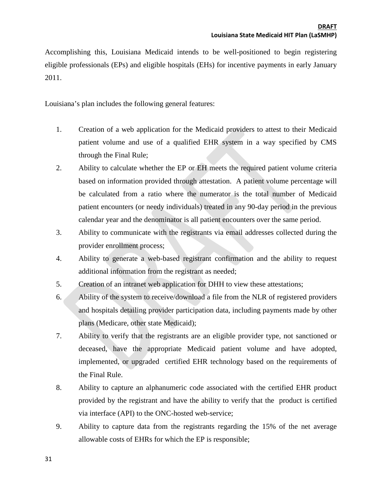Accomplishing this, Louisiana Medicaid intends to be well-positioned to begin registering eligible professionals (EPs) and eligible hospitals (EHs) for incentive payments in early January 2011.

Louisiana's plan includes the following general features:

- 1. Creation of a web application for the Medicaid providers to attest to their Medicaid patient volume and use of a qualified EHR system in a way specified by CMS through the Final Rule;
- 2. Ability to calculate whether the EP or EH meets the required patient volume criteria based on information provided through attestation. A patient volume percentage will be calculated from a ratio where the numerator is the total number of Medicaid patient encounters (or needy individuals) treated in any 90-day period in the previous calendar year and the denominator is all patient encounters over the same period.
- 3. Ability to communicate with the registrants via email addresses collected during the provider enrollment process;
- 4. Ability to generate a web-based registrant confirmation and the ability to request additional information from the registrant as needed;
- 5. Creation of an intranet web application for DHH to view these attestations;
- 6. Ability of the system to receive/download a file from the NLR of registered providers and hospitals detailing provider participation data, including payments made by other plans (Medicare, other state Medicaid);
- 7. Ability to verify that the registrants are an eligible provider type, not sanctioned or deceased, have the appropriate Medicaid patient volume and have adopted, implemented, or upgraded certified EHR technology based on the requirements of the Final Rule.
- 8. Ability to capture an alphanumeric code associated with the certified EHR product provided by the registrant and have the ability to verify that the product is certified via interface (API) to the ONC-hosted web-service;
- 9. Ability to capture data from the registrants regarding the 15% of the net average allowable costs of EHRs for which the EP is responsible;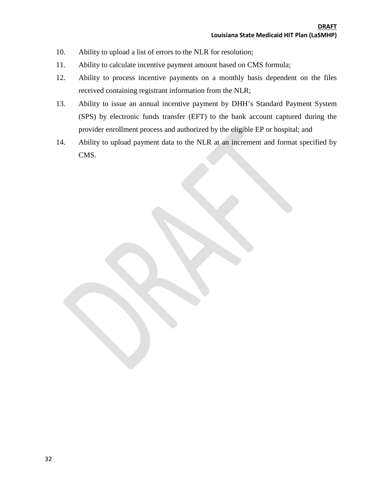- 10. Ability to upload a list of errors to the NLR for resolution;
- 11. Ability to calculate incentive payment amount based on CMS formula;
- 12. Ability to process incentive payments on a monthly basis dependent on the files received containing registrant information from the NLR;
- 13. Ability to issue an annual incentive payment by DHH's Standard Payment System (SPS) by electronic funds transfer (EFT) to the bank account captured during the provider enrollment process and authorized by the eligible EP or hospital; and
- 14. Ability to upload payment data to the NLR at an increment and format specified by CMS.

32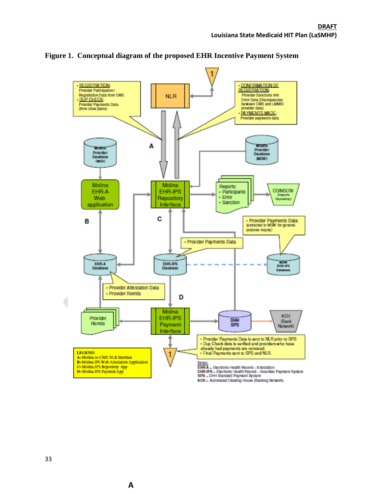

#### <span id="page-32-0"></span>**Figure 1. Conceptual diagram of the proposed EHR Incentive Payment System**

ACH - Automated Clearing House (Banking Network).

**A**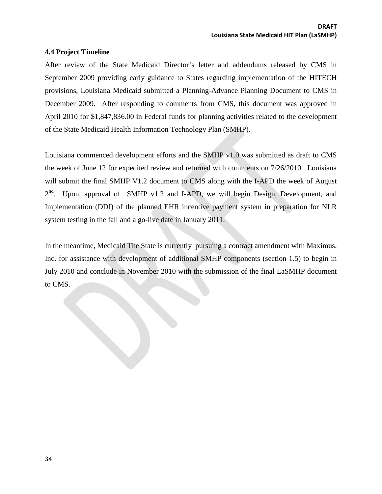## <span id="page-33-0"></span>**4.4 Project Timeline**

After review of the State Medicaid Director's letter and addendums released by CMS in September 2009 providing early guidance to States regarding implementation of the HITECH provisions, Louisiana Medicaid submitted a Planning-Advance Planning Document to CMS in December 2009. After responding to comments from CMS, this document was approved in April 2010 for \$1,847,836.00 in Federal funds for planning activities related to the development of the State Medicaid Health Information Technology Plan (SMHP).

Louisiana commenced development efforts and the SMHP v1.0 was submitted as draft to CMS the week of June 12 for expedited review and returned with comments on 7/26/2010. Louisiana will submit the final SMHP V1.2 document to CMS along with the I-APD the week of August 2<sup>nd</sup>. Upon, approval of SMHP v1.2 and I-APD, we will begin Design, Development, and Implementation (DDI) of the planned EHR incentive payment system in preparation for NLR system testing in the fall and a go-live date in January 2011.

In the meantime, Medicaid The State is currently pursuing a contract amendment with Maximus, Inc. for assistance with development of additional SMHP components (section 1.5) to begin in July 2010 and conclude in November 2010 with the submission of the final LaSMHP document to CMS.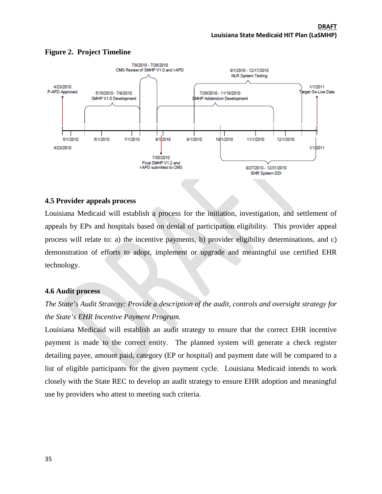<span id="page-34-0"></span>

#### **Figure 2. Project Timeline**

## <span id="page-34-1"></span>**4.5 Provider appeals process**

Louisiana Medicaid will establish a process for the initiation, investigation, and settlement of appeals by EPs and hospitals based on denial of participation eligibility. This provider appeal process will relate to: a) the incentive payments, b) provider eligibility determinations, and c) demonstration of efforts to adopt, implement or upgrade and meaningful use certified EHR technology.

## <span id="page-34-2"></span>**4.6 Audit process**

## *The State's Audit Strategy: Provide a description of the audit, controls and oversight strategy for the State's EHR Incentive Payment Program.*

Louisiana Medicaid will establish an audit strategy to ensure that the correct EHR incentive payment is made to the correct entity. The planned system will generate a check register detailing payee, amount paid, category (EP or hospital) and payment date will be compared to a list of eligible participants for the given payment cycle. Louisiana Medicaid intends to work closely with the State REC to develop an audit strategy to ensure EHR adoption and meaningful use by providers who attest to meeting such criteria.